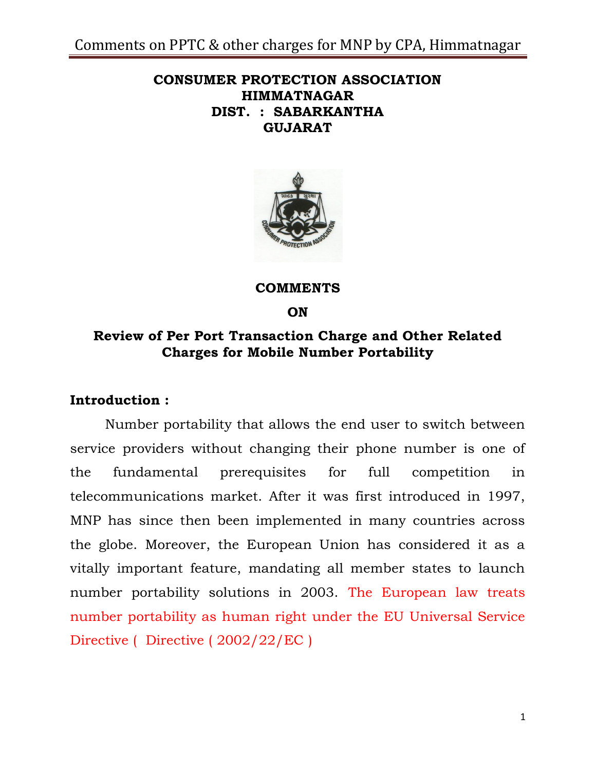## **CONSUMER PROTECTION ASSOCIATION HIMMATNAGAR DIST. : SABARKANTHA GUJARAT**



**COMMENTS**

**ON**

## **Review of Per Port Transaction Charge and Other Related Charges for Mobile Number Portability**

## **Introduction :**

Number portability that allows the end user to switch between service providers without changing their phone number is one of the fundamental prerequisites for full competition in telecommunications market. After it was first introduced in 1997, MNP has since then been implemented in many countries across the globe. Moreover, the European Union has considered it as a vitally important feature, mandating all member states to launch number portability solutions in 2003. The European law treats number portability as human right under the EU Universal Service Directive ( Directive ( 2002/22/EC )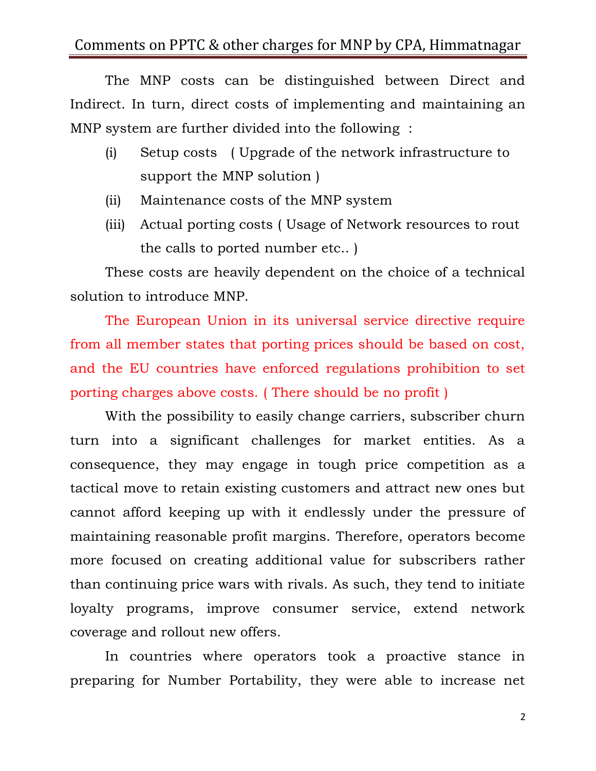The MNP costs can be distinguished between Direct and Indirect. In turn, direct costs of implementing and maintaining an MNP system are further divided into the following :

- (i) Setup costs ( Upgrade of the network infrastructure to support the MNP solution )
- (ii) Maintenance costs of the MNP system
- (iii) Actual porting costs ( Usage of Network resources to rout the calls to ported number etc.. )

These costs are heavily dependent on the choice of a technical solution to introduce MNP.

The European Union in its universal service directive require from all member states that porting prices should be based on cost, and the EU countries have enforced regulations prohibition to set porting charges above costs. ( There should be no profit )

With the possibility to easily change carriers, subscriber churn turn into a significant challenges for market entities. As a consequence, they may engage in tough price competition as a tactical move to retain existing customers and attract new ones but cannot afford keeping up with it endlessly under the pressure of maintaining reasonable profit margins. Therefore, operators become more focused on creating additional value for subscribers rather than continuing price wars with rivals. As such, they tend to initiate loyalty programs, improve consumer service, extend network coverage and rollout new offers.

In countries where operators took a proactive stance in preparing for Number Portability, they were able to increase net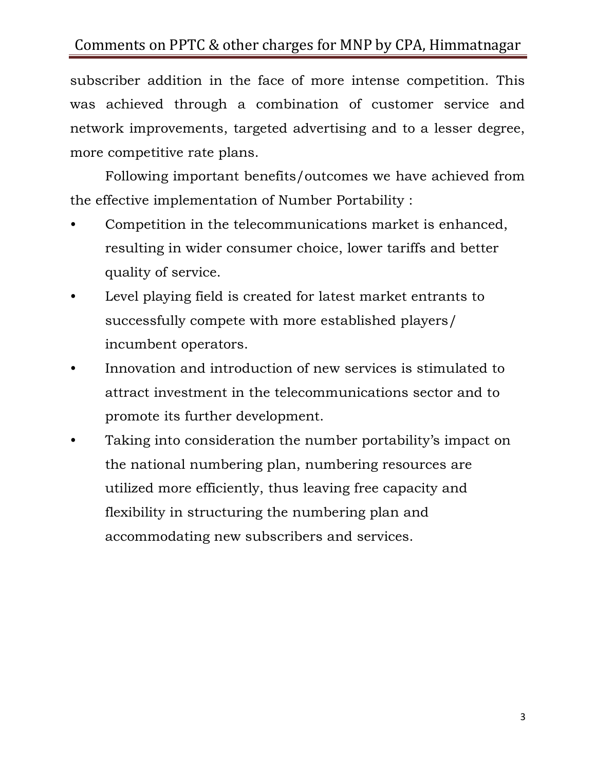subscriber addition in the face of more intense competition. This was achieved through a combination of customer service and network improvements, targeted advertising and to a lesser degree, more competitive rate plans.

Following important benefits/outcomes we have achieved from the effective implementation of Number Portability :

- Competition in the telecommunications market is enhanced, resulting in wider consumer choice, lower tariffs and better quality of service.
- Level playing field is created for latest market entrants to successfully compete with more established players/ incumbent operators.
- Innovation and introduction of new services is stimulated to attract investment in the telecommunications sector and to promote its further development.
- Taking into consideration the number portability's impact on the national numbering plan, numbering resources are utilized more efficiently, thus leaving free capacity and flexibility in structuring the numbering plan and accommodating new subscribers and services.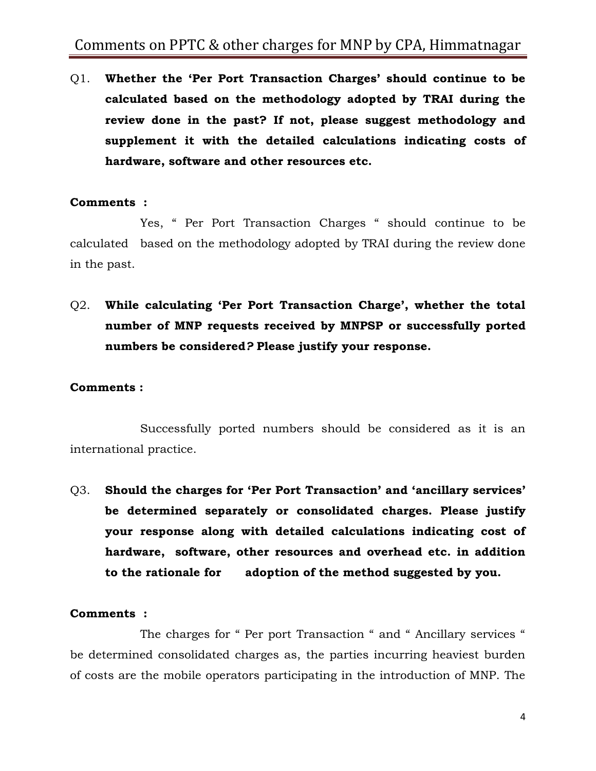Q1. **Whether the 'Per Port Transaction Charges' should continue to be calculated based on the methodology adopted by TRAI during the review done in the past? If not, please suggest methodology and supplement it with the detailed calculations indicating costs of hardware, software and other resources etc.**

### **Comments :**

Yes, " Per Port Transaction Charges " should continue to be calculated based on the methodology adopted by TRAI during the review done in the past.

Q2. **While calculating 'Per Port Transaction Charge', whether the total number of MNP requests received by MNPSP or successfully ported numbers be considered***?* **Please justify your response.**

#### **Comments :**

Successfully ported numbers should be considered as it is an international practice.

Q3. **Should the charges for 'Per Port Transaction' and 'ancillary services' be determined separately or consolidated charges. Please justify your response along with detailed calculations indicating cost of hardware, software, other resources and overhead etc. in addition to the rationale for adoption of the method suggested by you.**

#### **Comments :**

The charges for " Per port Transaction " and " Ancillary services " be determined consolidated charges as, the parties incurring heaviest burden of costs are the mobile operators participating in the introduction of MNP. The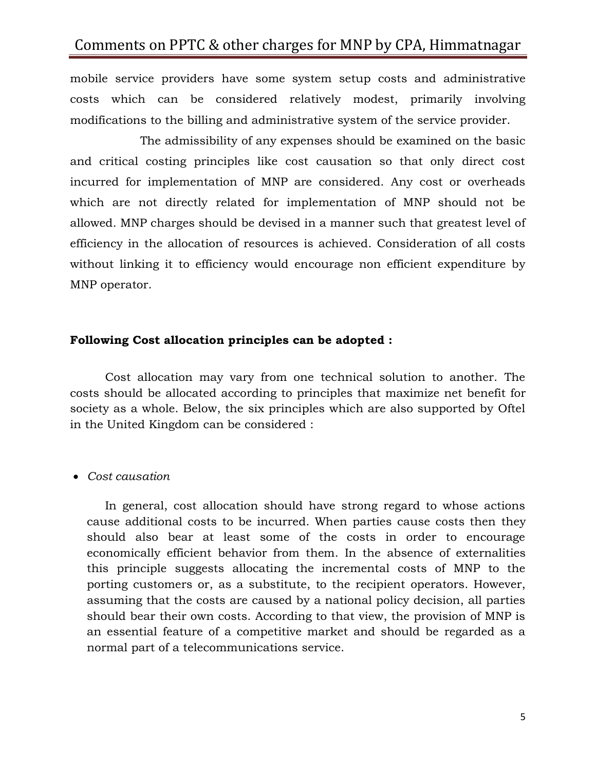mobile service providers have some system setup costs and administrative costs which can be considered relatively modest, primarily involving modifications to the billing and administrative system of the service provider.

The admissibility of any expenses should be examined on the basic and critical costing principles like cost causation so that only direct cost incurred for implementation of MNP are considered. Any cost or overheads which are not directly related for implementation of MNP should not be allowed. MNP charges should be devised in a manner such that greatest level of efficiency in the allocation of resources is achieved. Consideration of all costs without linking it to efficiency would encourage non efficient expenditure by MNP operator.

### **Following Cost allocation principles can be adopted :**

Cost allocation may vary from one technical solution to another. The costs should be allocated according to principles that maximize net benefit for society as a whole. Below, the six principles which are also supported by Oftel in the United Kingdom can be considered :

### *Cost causation*

In general, cost allocation should have strong regard to whose actions cause additional costs to be incurred. When parties cause costs then they should also bear at least some of the costs in order to encourage economically efficient behavior from them. In the absence of externalities this principle suggests allocating the incremental costs of MNP to the porting customers or, as a substitute, to the recipient operators. However, assuming that the costs are caused by a national policy decision, all parties should bear their own costs. According to that view, the provision of MNP is an essential feature of a competitive market and should be regarded as a normal part of a telecommunications service.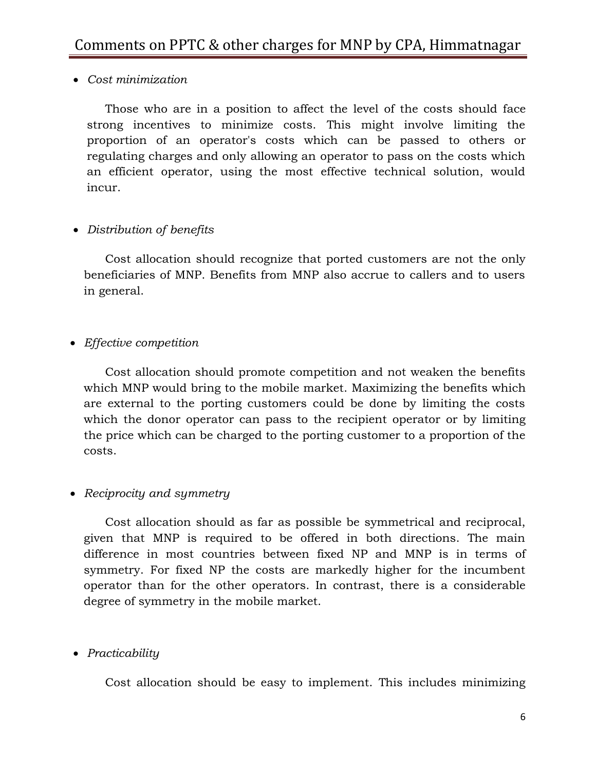*Cost minimization*

Those who are in a position to affect the level of the costs should face strong incentives to minimize costs. This might involve limiting the proportion of an operator's costs which can be passed to others or regulating charges and only allowing an operator to pass on the costs which an efficient operator, using the most effective technical solution, would incur.

### *Distribution of benefits*

Cost allocation should recognize that ported customers are not the only beneficiaries of MNP. Benefits from MNP also accrue to callers and to users in general.

*Effective competition*

Cost allocation should promote competition and not weaken the benefits which MNP would bring to the mobile market. Maximizing the benefits which are external to the porting customers could be done by limiting the costs which the donor operator can pass to the recipient operator or by limiting the price which can be charged to the porting customer to a proportion of the costs.

## *Reciprocity and symmetry*

Cost allocation should as far as possible be symmetrical and reciprocal, given that MNP is required to be offered in both directions. The main difference in most countries between fixed NP and MNP is in terms of symmetry. For fixed NP the costs are markedly higher for the incumbent operator than for the other operators. In contrast, there is a considerable degree of symmetry in the mobile market.

## *Practicability*

Cost allocation should be easy to implement. This includes minimizing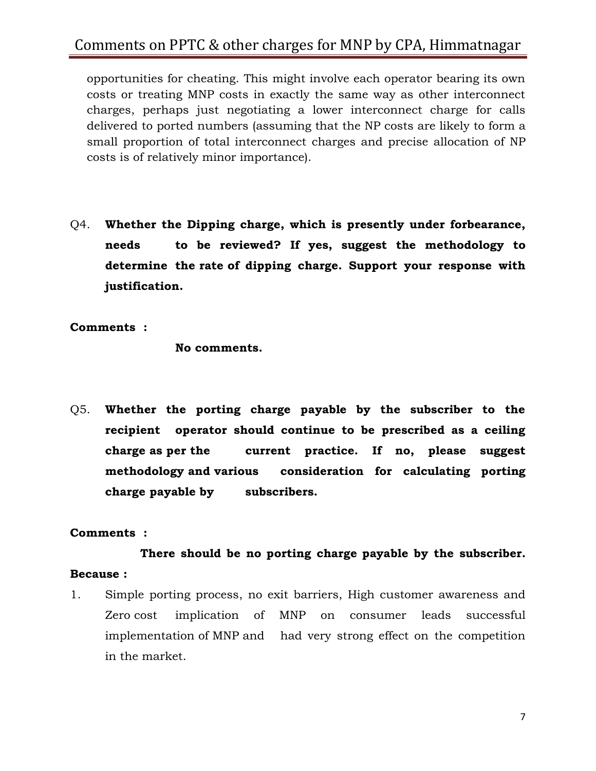opportunities for cheating. This might involve each operator bearing its own costs or treating MNP costs in exactly the same way as other interconnect charges, perhaps just negotiating a lower interconnect charge for calls delivered to ported numbers (assuming that the NP costs are likely to form a small proportion of total interconnect charges and precise allocation of NP costs is of relatively minor importance).

Q4. **Whether the Dipping charge, which is presently under forbearance, needs to be reviewed? If yes, suggest the methodology to determine the rate of dipping charge. Support your response with justification.**

**Comments :**

**No comments.**

Q5. **Whether the porting charge payable by the subscriber to the recipient operator should continue to be prescribed as a ceiling charge as per the current practice. If no, please suggest methodology and various consideration for calculating porting charge payable by subscribers.**

### **Comments :**

**There should be no porting charge payable by the subscriber. Because :** 

1. Simple porting process, no exit barriers, High customer awareness and Zero cost implication of MNP on consumer leads successful implementation of MNP and had very strong effect on the competition in the market.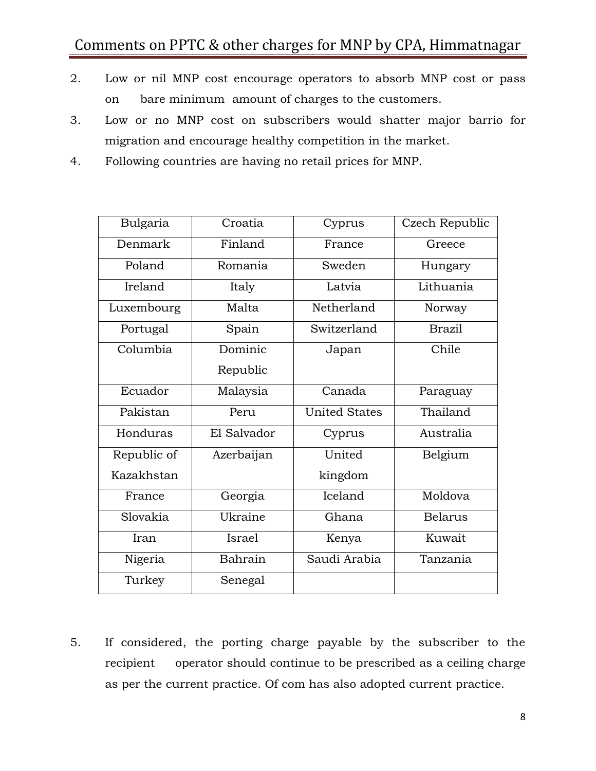- 2. Low or nil MNP cost encourage operators to absorb MNP cost or pass on bare minimum amount of charges to the customers.
- 3. Low or no MNP cost on subscribers would shatter major barrio for migration and encourage healthy competition in the market.
- 4. Following countries are having no retail prices for MNP.

| Bulgaria    | Croatia     | Cyprus               | Czech Republic |
|-------------|-------------|----------------------|----------------|
| Denmark     | Finland     | France               | Greece         |
| Poland      | Romania     | Sweden               | Hungary        |
| Ireland     | Italy       | Latvia               | Lithuania      |
| Luxembourg  | Malta       | Netherland           | Norway         |
| Portugal    | Spain       | Switzerland          | <b>Brazil</b>  |
| Columbia    | Dominic     | Japan                | Chile          |
|             | Republic    |                      |                |
| Ecuador     | Malaysia    | Canada               | Paraguay       |
| Pakistan    | Peru        | <b>United States</b> | Thailand       |
| Honduras    | El Salvador | Cyprus               | Australia      |
| Republic of | Azerbaijan  | United               | Belgium        |
| Kazakhstan  |             | kingdom              |                |
| France      | Georgia     | Iceland              | Moldova        |
| Slovakia    | Ukraine     | Ghana                | <b>Belarus</b> |
| Iran        | Israel      | Kenya                | Kuwait         |
| Nigeria     | Bahrain     | Saudi Arabia         | Tanzania       |
| Turkey      | Senegal     |                      |                |

5. If considered, the porting charge payable by the subscriber to the recipient operator should continue to be prescribed as a ceiling charge as per the current practice. Of com has also adopted current practice.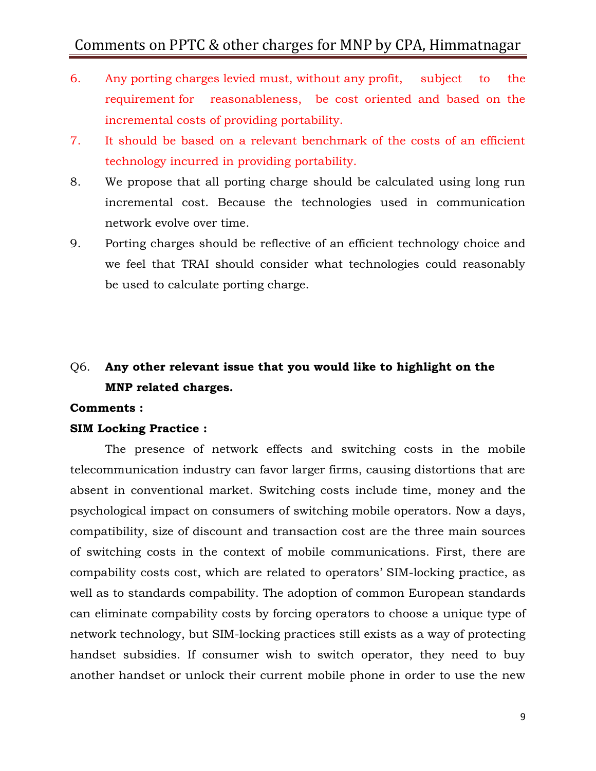- 6. Any porting charges levied must, without any profit, subject to the requirement for reasonableness, be cost oriented and based on the incremental costs of providing portability.
- 7. It should be based on a relevant benchmark of the costs of an efficient technology incurred in providing portability.
- 8. We propose that all porting charge should be calculated using long run incremental cost. Because the technologies used in communication network evolve over time.
- 9. Porting charges should be reflective of an efficient technology choice and we feel that TRAI should consider what technologies could reasonably be used to calculate porting charge.

## Q6. **Any other relevant issue that you would like to highlight on the MNP related charges.**

#### **Comments :**

#### **SIM Locking Practice :**

The presence of network effects and switching costs in the mobile telecommunication industry can favor larger firms, causing distortions that are absent in conventional market. Switching costs include time, money and the psychological impact on consumers of switching mobile operators. Now a days, compatibility, size of discount and transaction cost are the three main sources of switching costs in the context of mobile communications. First, there are compability costs cost, which are related to operators' SIM-locking practice, as well as to standards compability. The adoption of common European standards can eliminate compability costs by forcing operators to choose a unique type of network technology, but SIM-locking practices still exists as a way of protecting handset subsidies. If consumer wish to switch operator, they need to buy another handset or unlock their current mobile phone in order to use the new